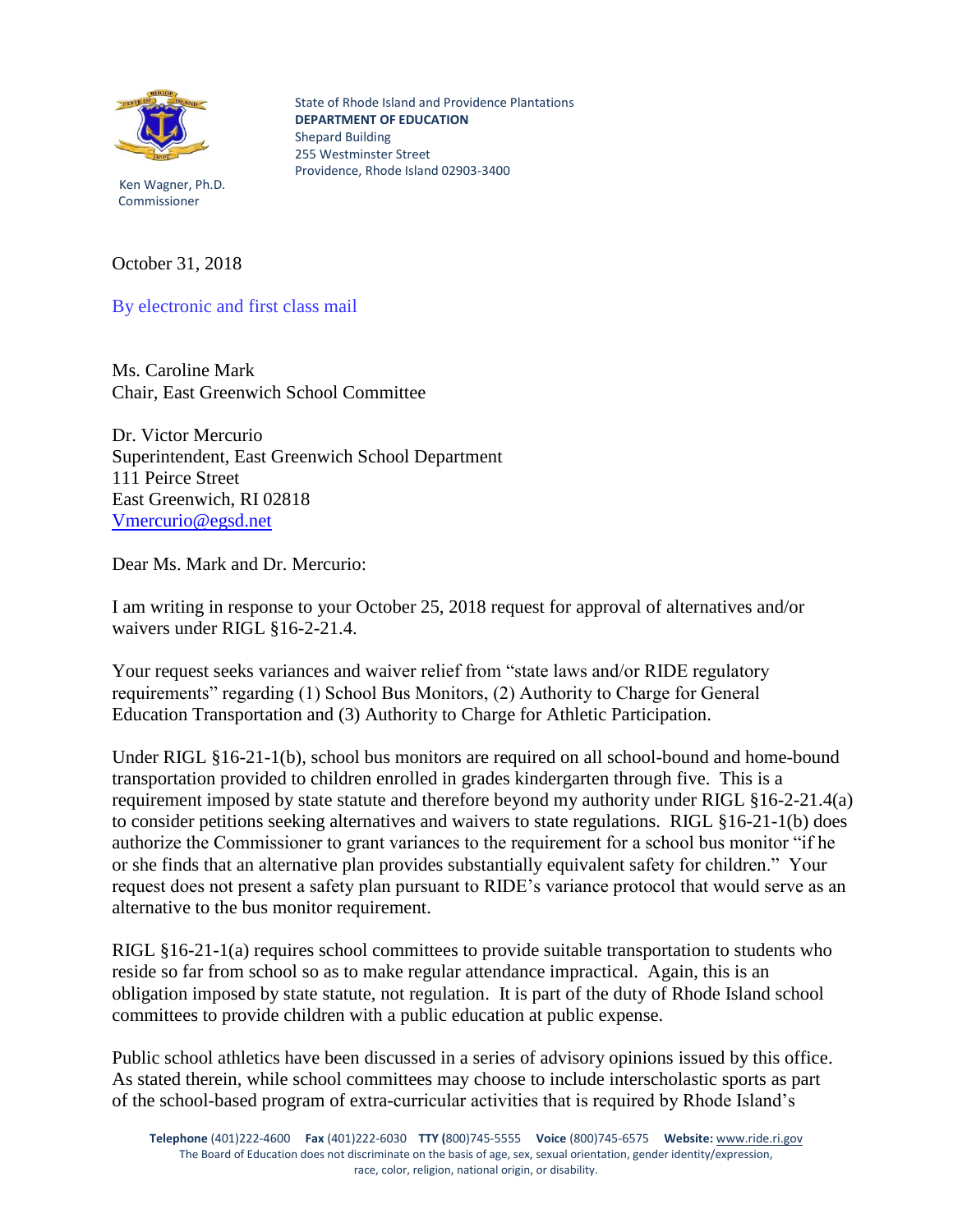

State of Rhode Island and Providence Plantations **DEPARTMENT OF EDUCATION** Shepard Building 255 Westminster Street Providence, Rhode Island 02903-3400

 Ken Wagner, Ph.D. Commissioner

October 31, 2018

By electronic and first class mail

Ms. Caroline Mark Chair, East Greenwich School Committee

Dr. Victor Mercurio Superintendent, East Greenwich School Department 111 Peirce Street East Greenwich, RI 02818 [Vmercurio@egsd.net](mailto:Vmercurio@egsd.net)

Dear Ms. Mark and Dr. Mercurio:

I am writing in response to your October 25, 2018 request for approval of alternatives and/or waivers under RIGL §16-2-21.4.

Your request seeks variances and waiver relief from "state laws and/or RIDE regulatory" requirements" regarding (1) School Bus Monitors, (2) Authority to Charge for General Education Transportation and (3) Authority to Charge for Athletic Participation.

Under RIGL §16-21-1(b), school bus monitors are required on all school-bound and home-bound transportation provided to children enrolled in grades kindergarten through five. This is a requirement imposed by state statute and therefore beyond my authority under RIGL §16-2-21.4(a) to consider petitions seeking alternatives and waivers to state regulations. RIGL §16-21-1(b) does authorize the Commissioner to grant variances to the requirement for a school bus monitor "if he or she finds that an alternative plan provides substantially equivalent safety for children." Your request does not present a safety plan pursuant to RIDE's variance protocol that would serve as an alternative to the bus monitor requirement.

RIGL §16-21-1(a) requires school committees to provide suitable transportation to students who reside so far from school so as to make regular attendance impractical. Again, this is an obligation imposed by state statute, not regulation. It is part of the duty of Rhode Island school committees to provide children with a public education at public expense.

Public school athletics have been discussed in a series of advisory opinions issued by this office. As stated therein, while school committees may choose to include interscholastic sports as part of the school-based program of extra-curricular activities that is required by Rhode Island's